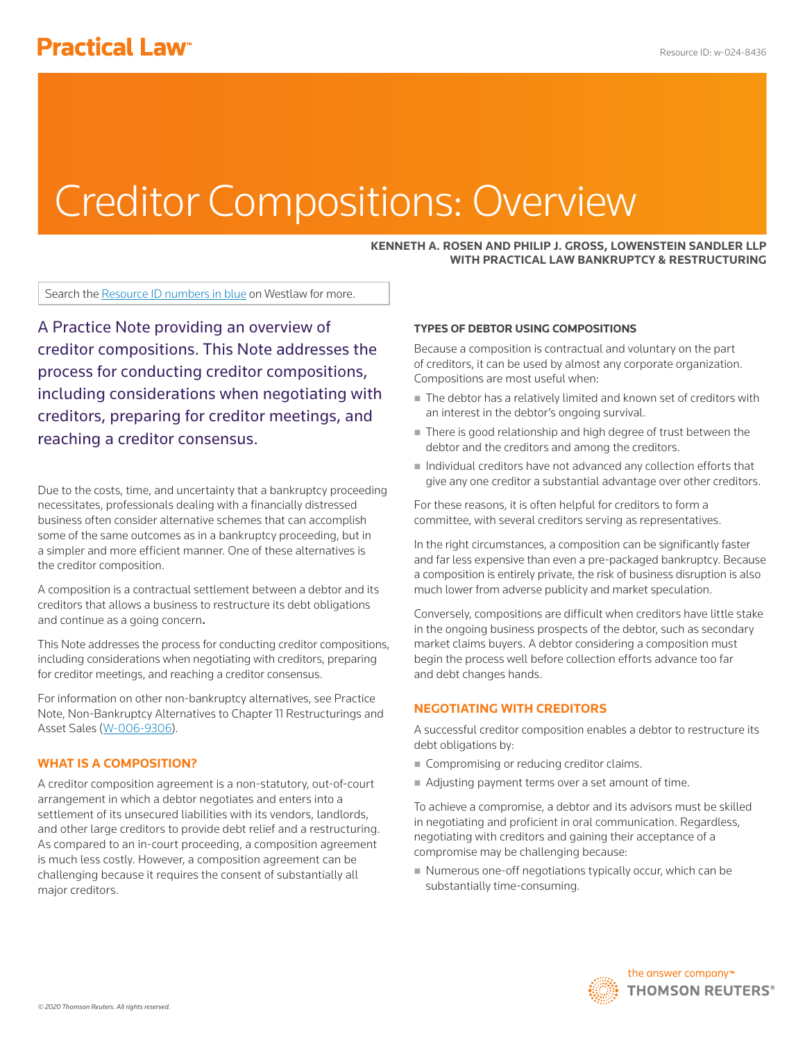# Creditor Compositions: Overview

### **KENNETH A. ROSEN AND PHILIP J. GROSS, LOWENSTEIN SANDLER LLP WITH PRACTICAL LAW BANKRUPTCY & RESTRUCTURING**

Search the Resource ID numbers in blue on Westlaw for more.

A Practice Note providing an overview of creditor compositions. This Note addresses the process for conducting creditor compositions, including considerations when negotiating with creditors, preparing for creditor meetings, and reaching a creditor consensus.

Due to the costs, time, and uncertainty that a bankruptcy proceeding necessitates, professionals dealing with a financially distressed business often consider alternative schemes that can accomplish some of the same outcomes as in a bankruptcy proceeding, but in a simpler and more efficient manner. One of these alternatives is the creditor composition.

A composition is a contractual settlement between a debtor and its creditors that allows a business to restructure its debt obligations and continue as a going concern.

This Note addresses the process for conducting creditor compositions, including considerations when negotiating with creditors, preparing for creditor meetings, and reaching a creditor consensus.

For information on other non-bankruptcy alternatives, see Practice Note, Non-Bankruptcy Alternatives to Chapter 11 Restructurings and Asset Sales (W-006-9306).

#### **WHAT IS A COMPOSITION?**

A creditor composition agreement is a non-statutory, out-of-court arrangement in which a debtor negotiates and enters into a settlement of its unsecured liabilities with its vendors, landlords, and other large creditors to provide debt relief and a restructuring. As compared to an in-court proceeding, a composition agreement is much less costly. However, a composition agreement can be challenging because it requires the consent of substantially all major creditors.

#### **TYPES OF DEBTOR USING COMPOSITIONS**

Because a composition is contractual and voluntary on the part of creditors, it can be used by almost any corporate organization. Compositions are most useful when:

- The debtor has a relatively limited and known set of creditors with an interest in the debtor's ongoing survival.
- There is good relationship and high degree of trust between the debtor and the creditors and among the creditors.
- Individual creditors have not advanced any collection efforts that give any one creditor a substantial advantage over other creditors.

For these reasons, it is often helpful for creditors to form a committee, with several creditors serving as representatives.

In the right circumstances, a composition can be significantly faster and far less expensive than even a pre-packaged bankruptcy. Because a composition is entirely private, the risk of business disruption is also much lower from adverse publicity and market speculation.

Conversely, compositions are difficult when creditors have little stake in the ongoing business prospects of the debtor, such as secondary market claims buyers. A debtor considering a composition must begin the process well before collection efforts advance too far and debt changes hands.

## **NEGOTIATING WITH CREDITORS**

A successful creditor composition enables a debtor to restructure its debt obligations by:

- Compromising or reducing creditor claims.
- Adjusting payment terms over a set amount of time.

To achieve a compromise, a debtor and its advisors must be skilled in negotiating and proficient in oral communication. Regardless, negotiating with creditors and gaining their acceptance of a compromise may be challenging because:

 $\blacksquare$  Numerous one-off negotiations typically occur, which can be substantially time-consuming.

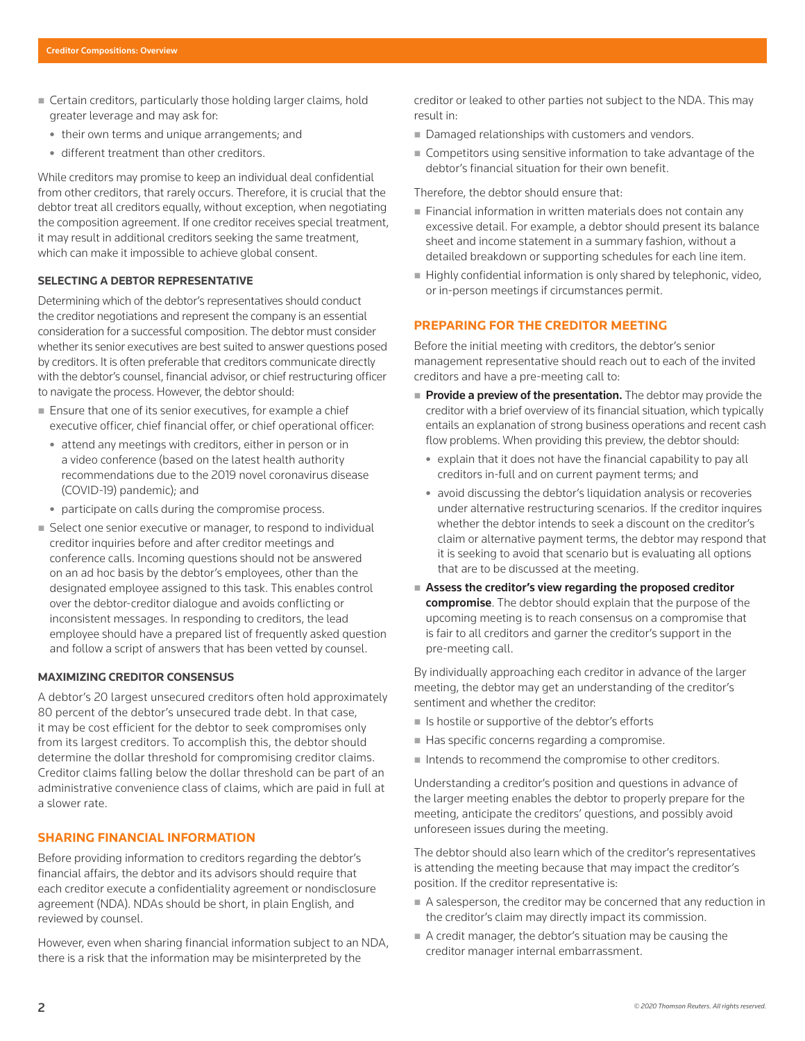- Certain creditors, particularly those holding larger claims, hold greater leverage and may ask for:
	- their own terms and unique arrangements; and
	- different treatment than other creditors.

While creditors may promise to keep an individual deal confidential from other creditors, that rarely occurs. Therefore, it is crucial that the debtor treat all creditors equally, without exception, when negotiating the composition agreement. If one creditor receives special treatment, it may result in additional creditors seeking the same treatment, which can make it impossible to achieve global consent.

#### **SELECTING A DEBTOR REPRESENTATIVE**

Determining which of the debtor's representatives should conduct the creditor negotiations and represent the company is an essential consideration for a successful composition. The debtor must consider whether its senior executives are best suited to answer questions posed by creditors. It is often preferable that creditors communicate directly with the debtor's counsel, financial advisor, or chief restructuring officer to navigate the process. However, the debtor should:

- Ensure that one of its senior executives, for example a chief executive officer, chief financial offer, or chief operational officer:
	- attend any meetings with creditors, either in person or in a video conference (based on the latest health authority recommendations due to the 2019 novel coronavirus disease (COVID-19) pandemic); and
	- participate on calls during the compromise process.
- Select one senior executive or manager, to respond to individual creditor inquiries before and after creditor meetings and conference calls. Incoming questions should not be answered on an ad hoc basis by the debtor's employees, other than the designated employee assigned to this task. This enables control over the debtor-creditor dialogue and avoids conflicting or inconsistent messages. In responding to creditors, the lead employee should have a prepared list of frequently asked question and follow a script of answers that has been vetted by counsel.

### **MAXIMIZING CREDITOR CONSENSUS**

A debtor's 20 largest unsecured creditors often hold approximately 80 percent of the debtor's unsecured trade debt. In that case, it may be cost efficient for the debtor to seek compromises only from its largest creditors. To accomplish this, the debtor should determine the dollar threshold for compromising creditor claims. Creditor claims falling below the dollar threshold can be part of an administrative convenience class of claims, which are paid in full at a slower rate.

### **SHARING FINANCIAL INFORMATION**

Before providing information to creditors regarding the debtor's financial affairs, the debtor and its advisors should require that each creditor execute a confidentiality agreement or nondisclosure agreement (NDA). NDAs should be short, in plain English, and reviewed by counsel.

However, even when sharing financial information subject to an NDA, there is a risk that the information may be misinterpreted by the

creditor or leaked to other parties not subject to the NDA. This may result in:

- Damaged relationships with customers and vendors.
- Competitors using sensitive information to take advantage of the debtor's financial situation for their own benefit.

Therefore, the debtor should ensure that:

- **Financial information in written materials does not contain any** excessive detail. For example, a debtor should present its balance sheet and income statement in a summary fashion, without a detailed breakdown or supporting schedules for each line item.
- Highly confidential information is only shared by telephonic, video, or in-person meetings if circumstances permit.

## **PREPARING FOR THE CREDITOR MEETING**

Before the initial meeting with creditors, the debtor's senior management representative should reach out to each of the invited creditors and have a pre-meeting call to:

- $\blacksquare$  Provide a preview of the presentation. The debtor may provide the creditor with a brief overview of its financial situation, which typically entails an explanation of strong business operations and recent cash flow problems. When providing this preview, the debtor should:
	- $\bullet$  explain that it does not have the financial capability to pay all creditors in-full and on current payment terms; and
	- avoid discussing the debtor's liquidation analysis or recoveries under alternative restructuring scenarios. If the creditor inquires whether the debtor intends to seek a discount on the creditor's claim or alternative payment terms, the debtor may respond that it is seeking to avoid that scenario but is evaluating all options that are to be discussed at the meeting.
- Assess the creditor's view regarding the proposed creditor compromise. The debtor should explain that the purpose of the upcoming meeting is to reach consensus on a compromise that is fair to all creditors and garner the creditor's support in the pre-meeting call.

By individually approaching each creditor in advance of the larger meeting, the debtor may get an understanding of the creditor's sentiment and whether the creditor:

- $\blacksquare$  Is hostile or supportive of the debtor's efforts
- $\blacksquare$  Has specific concerns regarding a compromise.
- Intends to recommend the compromise to other creditors.

Understanding a creditor's position and questions in advance of the larger meeting enables the debtor to properly prepare for the meeting, anticipate the creditors' questions, and possibly avoid unforeseen issues during the meeting.

The debtor should also learn which of the creditor's representatives is attending the meeting because that may impact the creditor's position. If the creditor representative is:

- A salesperson, the creditor may be concerned that any reduction in the creditor's claim may directly impact its commission.
- A credit manager, the debtor's situation may be causing the creditor manager internal embarrassment.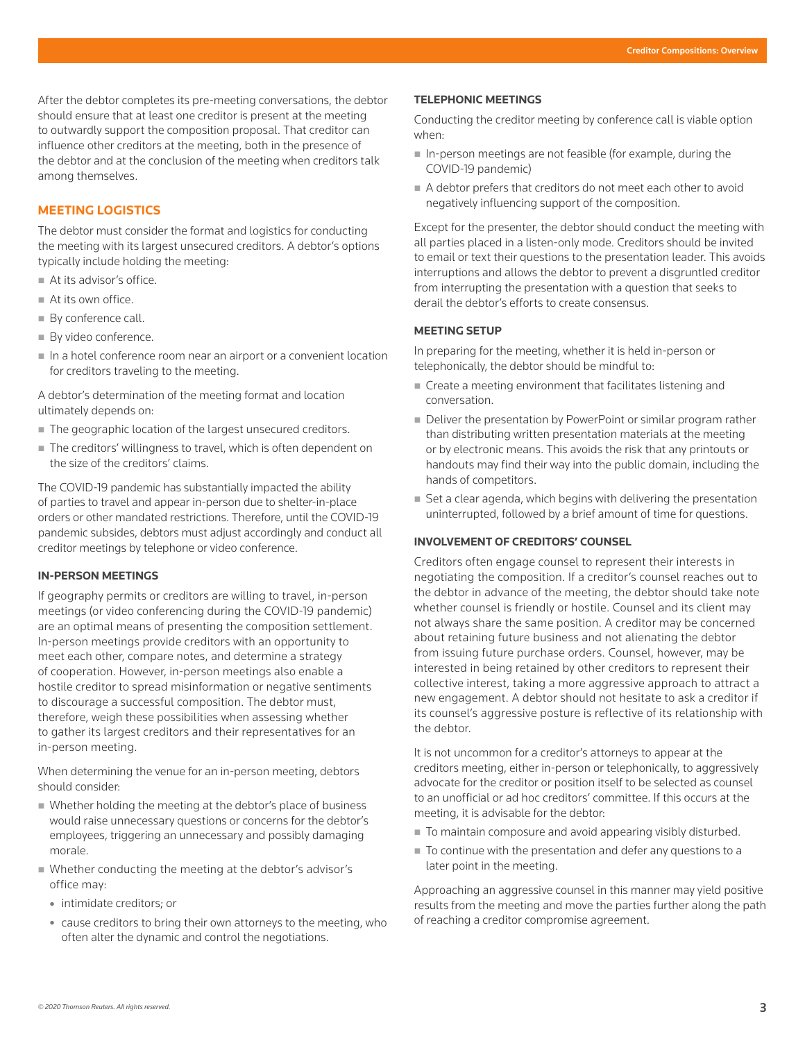After the debtor completes its pre-meeting conversations, the debtor should ensure that at least one creditor is present at the meeting to outwardly support the composition proposal. That creditor can influence other creditors at the meeting, both in the presence of the debtor and at the conclusion of the meeting when creditors talk among themselves.

## **MEETING LOGISTICS**

The debtor must consider the format and logistics for conducting the meeting with its largest unsecured creditors. A debtor's options typically include holding the meeting:

- At its advisor's office.
- At its own office.
- By conference call.
- By video conference.
- In a hotel conference room near an airport or a convenient location for creditors traveling to the meeting.

A debtor's determination of the meeting format and location ultimately depends on:

- The geographic location of the largest unsecured creditors.
- The creditors' willingness to travel, which is often dependent on the size of the creditors' claims.

The COVID-19 pandemic has substantially impacted the ability of parties to travel and appear in-person due to shelter-in-place orders or other mandated restrictions. Therefore, until the COVID-19 pandemic subsides, debtors must adjust accordingly and conduct all creditor meetings by telephone or video conference.

#### **IN-PERSON MEETINGS**

If geography permits or creditors are willing to travel, in-person meetings (or video conferencing during the COVID-19 pandemic) are an optimal means of presenting the composition settlement. In-person meetings provide creditors with an opportunity to meet each other, compare notes, and determine a strategy of cooperation. However, in-person meetings also enable a hostile creditor to spread misinformation or negative sentiments to discourage a successful composition. The debtor must, therefore, weigh these possibilities when assessing whether to gather its largest creditors and their representatives for an in-person meeting.

When determining the venue for an in-person meeting, debtors should consider:

- Whether holding the meeting at the debtor's place of business would raise unnecessary questions or concerns for the debtor's employees, triggering an unnecessary and possibly damaging morale.
- Whether conducting the meeting at the debtor's advisor's office may:
	- intimidate creditors; or
	- cause creditors to bring their own attorneys to the meeting, who often alter the dynamic and control the negotiations.

#### **TELEPHONIC MEETINGS**

Conducting the creditor meeting by conference call is viable option when:

- $\blacksquare$  In-person meetings are not feasible (for example, during the COVID-19 pandemic)
- A debtor prefers that creditors do not meet each other to avoid negatively influencing support of the composition.

Except for the presenter, the debtor should conduct the meeting with all parties placed in a listen-only mode. Creditors should be invited to email or text their questions to the presentation leader. This avoids interruptions and allows the debtor to prevent a disgruntled creditor from interrupting the presentation with a question that seeks to derail the debtor's efforts to create consensus.

## **MEETING SETUP**

In preparing for the meeting, whether it is held in-person or telephonically, the debtor should be mindful to:

- Create a meeting environment that facilitates listening and conversation.
- Deliver the presentation by PowerPoint or similar program rather than distributing written presentation materials at the meeting or by electronic means. This avoids the risk that any printouts or handouts may find their way into the public domain, including the hands of competitors.
- Set a clear agenda, which begins with delivering the presentation uninterrupted, followed by a brief amount of time for questions.

## **INVOLVEMENT OF CREDITORS' COUNSEL**

Creditors often engage counsel to represent their interests in negotiating the composition. If a creditor's counsel reaches out to the debtor in advance of the meeting, the debtor should take note whether counsel is friendly or hostile. Counsel and its client may not always share the same position. A creditor may be concerned about retaining future business and not alienating the debtor from issuing future purchase orders. Counsel, however, may be interested in being retained by other creditors to represent their collective interest, taking a more aggressive approach to attract a new engagement. A debtor should not hesitate to ask a creditor if its counsel's aggressive posture is reflective of its relationship with the debtor.

It is not uncommon for a creditor's attorneys to appear at the creditors meeting, either in-person or telephonically, to aggressively advocate for the creditor or position itself to be selected as counsel to an unofficial or ad hoc creditors' committee. If this occurs at the meeting, it is advisable for the debtor:

- $\blacksquare$  To maintain composure and avoid appearing visibly disturbed.
- $\blacksquare$  To continue with the presentation and defer any questions to a later point in the meeting.

Approaching an aggressive counsel in this manner may yield positive results from the meeting and move the parties further along the path of reaching a creditor compromise agreement.